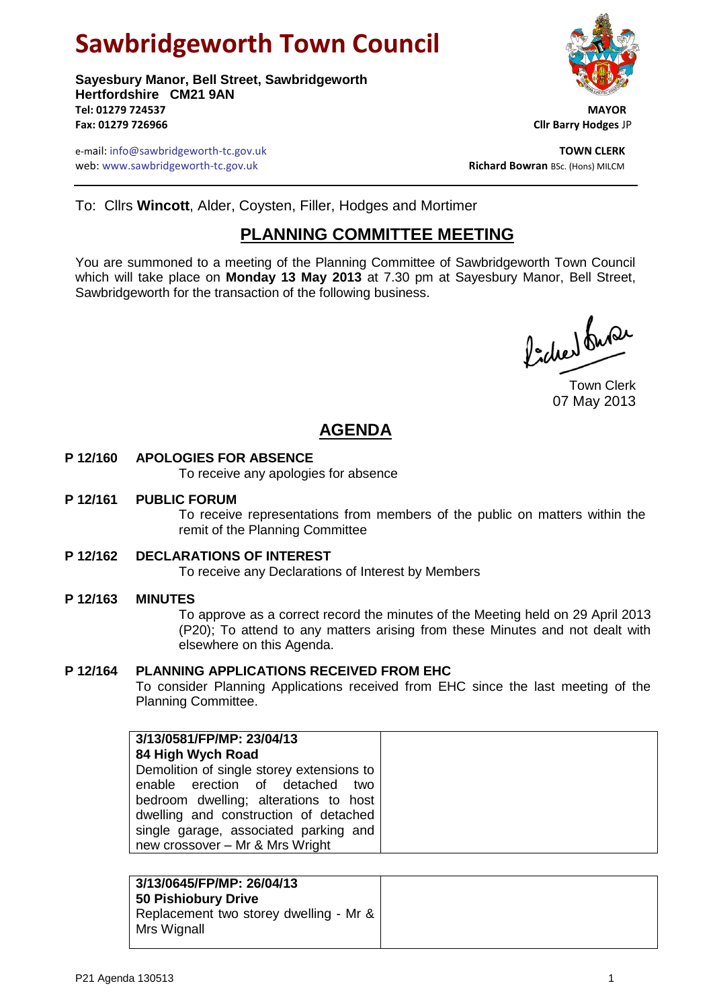# **Sawbridgeworth Town Council**

**Sayesbury Manor, Bell Street, Sawbridgeworth Hertfordshire CM21 9AN Tel: 01279 724537 MAYOR Fax: 01279 726966 Cllr Barry Hodges** JP

e-mail: info@sawbridgeworth-tc.gov.uk **TOWN CLERK** web: www.sawbridgeworth-tc.gov.uk

To: Cllrs **Wincott**, Alder, Coysten, Filler, Hodges and Mortimer

# **PLANNING COMMITTEE MEETING**

You are summoned to a meeting of the Planning Committee of Sawbridgeworth Town Council which will take place on **Monday 13 May 2013** at 7.30 pm at Sayesbury Manor, Bell Street, Sawbridgeworth for the transaction of the following business.

Picked fune

Town Clerk 07 May 2013

# **AGENDA**

# **P 12/160 APOLOGIES FOR ABSENCE**

To receive any apologies for absence

#### **P 12/161 PUBLIC FORUM**

To receive representations from members of the public on matters within the remit of the Planning Committee

**P 12/162 DECLARATIONS OF INTEREST**

To receive any Declarations of Interest by Members

# **P 12/163 MINUTES**

To approve as a correct record the minutes of the Meeting held on 29 April 2013 (P20); To attend to any matters arising from these Minutes and not dealt with elsewhere on this Agenda.

# **P 12/164 PLANNING APPLICATIONS RECEIVED FROM EHC**

To consider Planning Applications received from EHC since the last meeting of the Planning Committee.

| 3/13/0581/FP/MP: 23/04/13                 |
|-------------------------------------------|
| 84 High Wych Road                         |
| Demolition of single storey extensions to |
| enable erection of detached<br>two        |
| bedroom dwelling; alterations to host     |
| dwelling and construction of detached     |
| single garage, associated parking and     |
| new crossover - Mr & Mrs Wright           |

# **3/13/0645/FP/MP: 26/04/13 50 Pishiobury Drive** Replacement two storey dwelling - Mr & Mrs Wignall